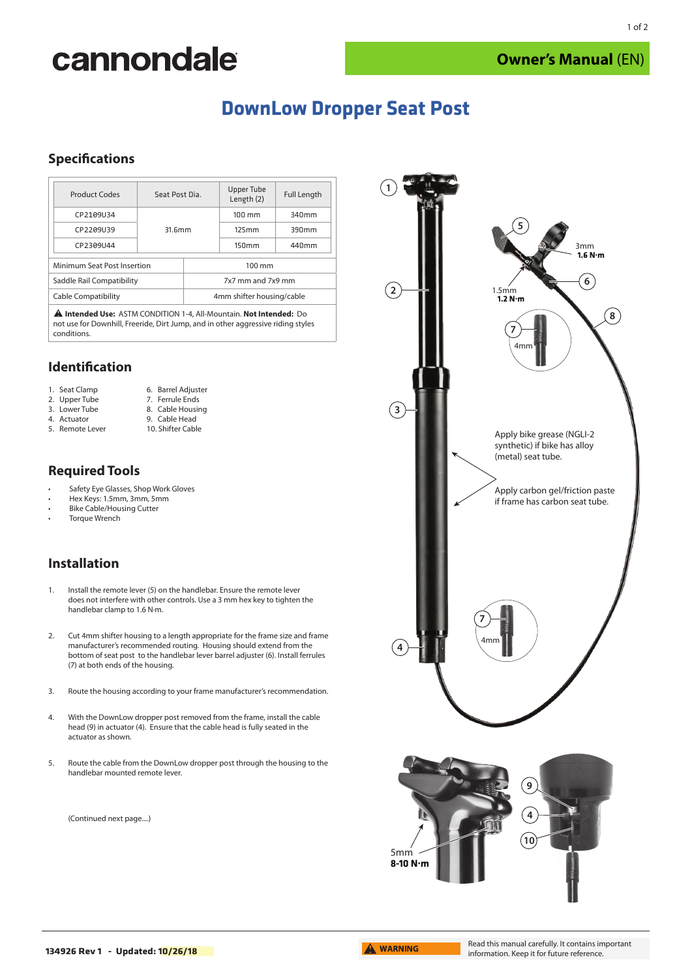# cannondale

## **DownLow Dropper Seat Post**

## **Specifications**

| Product Codes               | Seat Post Dia. |                           | <b>Upper Tube</b><br>Length (2) | <b>Full Length</b> |
|-----------------------------|----------------|---------------------------|---------------------------------|--------------------|
| CP2109U34                   | 31.6mm         |                           | $100 \text{ mm}$                | 340mm              |
| CP2209U39                   |                |                           | 125mm                           | 390mm              |
| CP2309U44                   |                |                           | 150mm                           | 440mm              |
| Minimum Seat Post Insertion |                | 100 mm                    |                                 |                    |
| Saddle Rail Compatibility   |                | 7x7 mm and 7x9 mm         |                                 |                    |
| <b>Cable Compatibility</b>  |                | 4mm shifter housing/cable |                                 |                    |
| $\sim$                      |                |                           |                                 |                    |

**Intended Use:** ASTM CONDITION 1-4, All-Mountain. **Not Intended:** Do not use for Downhill, Freeride, Dirt Jump, and in other aggressive riding styles conditions.

> 6. Barrel Adjuster 7. Ferrule Ends

#### **Identification**

|  |  | 1. Seat Clamp |  |
|--|--|---------------|--|
|--|--|---------------|--|

2. Upper Tube

3. Lower Tube 8. Cable Housing 9. Cable Head

- 4. Actuator
- 5. Remote Lever

10. Shifter Cable

### **Required Tools**

- Safety Eye Glasses, Shop Work Gloves
- Hex Keys: 1.5mm, 3mm, 5mm
- Bike Cable/Housing Cutter
- Torque Wrench

## **Installation**

- 1. Install the remote lever (5) on the handlebar. Ensure the remote lever does not interfere with other controls. Use a 3 mm hex key to tighten the handlebar clamp to 1.6 N·m.
- 2. Cut 4mm shifter housing to a length appropriate for the frame size and frame manufacturer's recommended routing. Housing should extend from the bottom of seat post to the handlebar lever barrel adjuster (6). Install ferrules (7) at both ends of the housing.
- 3. Route the housing according to your frame manufacturer's recommendation.
- 4. With the DownLow dropper post removed from the frame, install the cable head (9) in actuator (4). Ensure that the cable head is fully seated in the actuator as shown.
- 5. Route the cable from the DownLow dropper post through the housing to the handlebar mounted remote lever.

(Continued next page....)